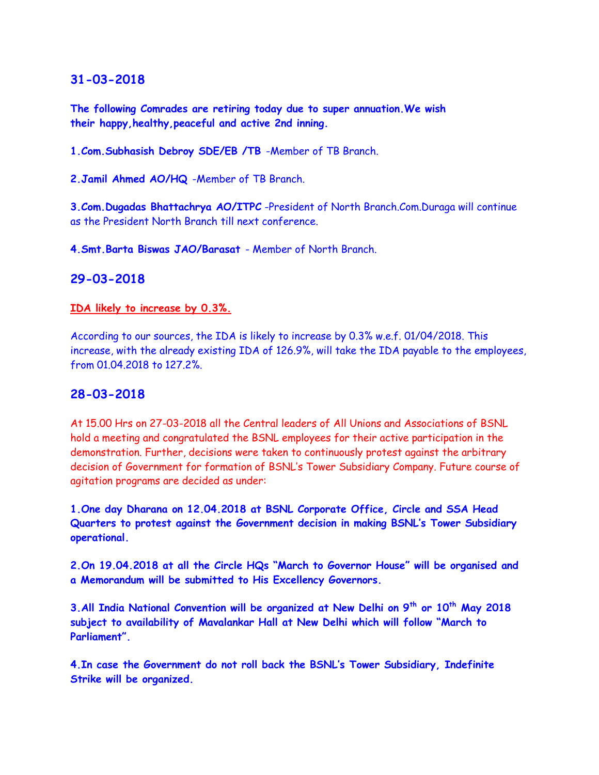**The following Comrades are retiring today due to super annuation.We wish their happy,healthy,peaceful and active 2nd inning.**

**1.Com.Subhasish Debroy SDE/EB /TB** -Member of TB Branch.

**2.Jamil Ahmed AO/HQ** -Member of TB Branch.

**3.Com.Dugadas Bhattachrya AO/ITPC** -President of North Branch.Com.Duraga will continue as the President North Branch till next conference.

**4.Smt.Barta Biswas JAO/Barasat** - Member of North Branch.

#### **29-03-2018**

#### **[IDA likely to increase by 0.3%.](http://www.bsnleu.in/ida-likely-to-increase-by-03)**

According to our sources, the IDA is likely to increase by 0.3% w.e.f. 01/04/2018. This increase, with the already existing IDA of 126.9%, will take the IDA payable to the employees, from 01.04.2018 to 127.2%.

### **28-03-2018**

At 15.00 Hrs on 27-03-2018 all the Central leaders of All Unions and Associations of BSNL hold a meeting and congratulated the BSNL employees for their active participation in the demonstration. Further, decisions were taken to continuously protest against the arbitrary decision of Government for formation of BSNL's Tower Subsidiary Company. Future course of agitation programs are decided as under:

**1.One day Dharana on 12.04.2018 at BSNL Corporate Office, Circle and SSA Head Quarters to protest against the Government decision in making BSNL's Tower Subsidiary operational.**

**2.On 19.04.2018 at all the Circle HQs "March to Governor House" will be organised and a Memorandum will be submitted to His Excellency Governors.**

**3.All India National Convention will be organized at New Delhi on 9th or 10th May 2018 subject to availability of Mavalankar Hall at New Delhi which will follow "March to Parliament".**

**4.In case the Government do not roll back the BSNL's Tower Subsidiary, Indefinite Strike will be organized.**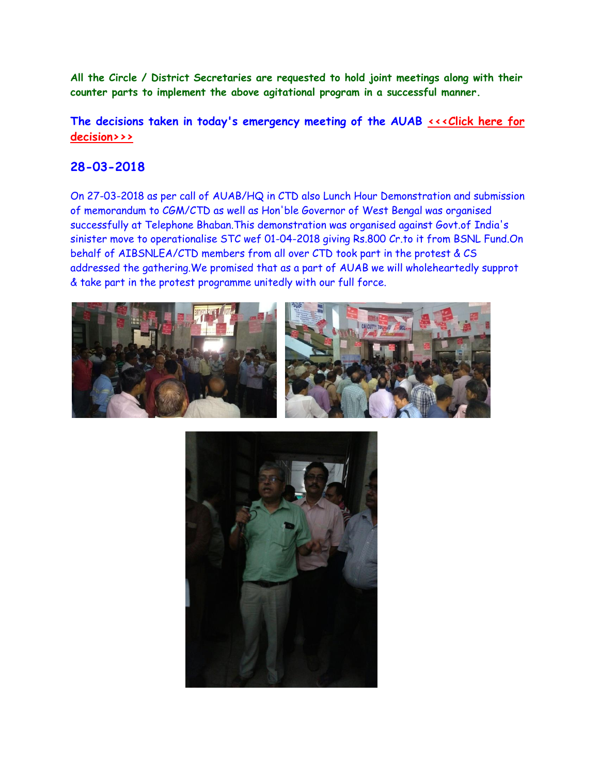**All the Circle / District Secretaries are requested to hold joint meetings along with their counter parts to implement the above agitational program in a successful manner.**

The decisions taken in today's emergency meeting of the AUAB *sing Line for* **[decision>>>](http://www.aibsnleachq.in/AUAB%20meeting%20decisions.pdf)**

# **28-03-2018**

On 27-03-2018 as per call of AUAB/HQ in CTD also Lunch Hour Demonstration and submission of memorandum to CGM/CTD as well as Hon'ble Governor of West Bengal was organised successfully at Telephone Bhaban.This demonstration was organised against Govt.of India's sinister move to operationalise STC wef 01-04-2018 giving Rs.800 Cr.to it from BSNL Fund.On behalf of AIBSNLEA/CTD members from all over CTD took part in the protest & CS addressed the gathering.We promised that as a part of AUAB we will wholeheartedly supprot & take part in the protest programme unitedly with our full force.



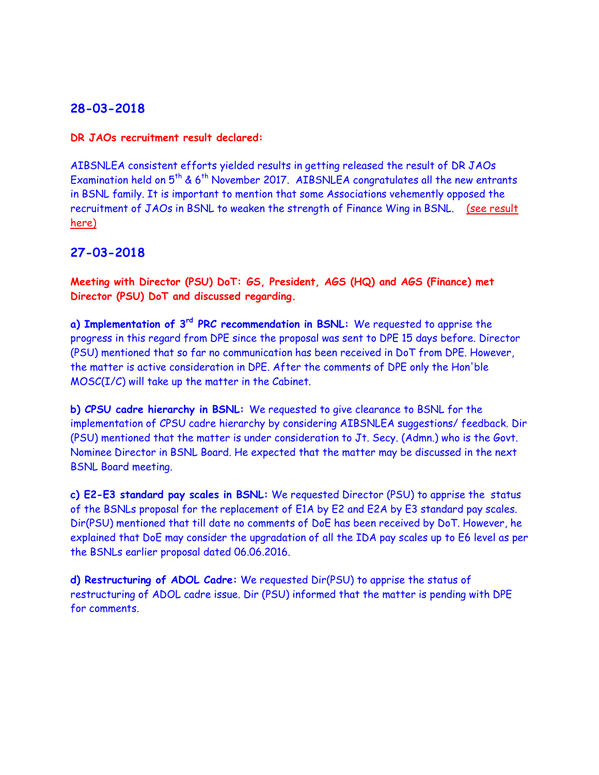#### **DR JAOs recruitment result declared:**

AIBSNLEA consistent efforts yielded results in getting released the result of DR JAOs Examination held on  $5<sup>th</sup>$  & 6<sup>th</sup> November 2017. AIBSNLEA congratulates all the new entrants in BSNL family. It is important to mention that some Associations vehemently opposed the recruitment of JAOs in BSNL to weaken the strength of Finance Wing in BSNL. [\(see result](http://aibsnleawb.org/jaodrmeritlist.pdf)  [here\)](http://aibsnleawb.org/jaodrmeritlist.pdf)

## **27-03-2018**

**Meeting with Director (PSU) DoT: GS, President, AGS (HQ) and AGS (Finance) met Director (PSU) DoT and discussed regarding.**

**a) Implementation of 3rd PRC recommendation in BSNL:** We requested to apprise the progress in this regard from DPE since the proposal was sent to DPE 15 days before. Director (PSU) mentioned that so far no communication has been received in DoT from DPE. However, the matter is active consideration in DPE. After the comments of DPE only the Hon'ble MOSC(I/C) will take up the matter in the Cabinet.

**b) CPSU cadre hierarchy in BSNL:** We requested to give clearance to BSNL for the implementation of CPSU cadre hierarchy by considering AIBSNLEA suggestions/ feedback. Dir (PSU) mentioned that the matter is under consideration to Jt. Secy. (Admn.) who is the Govt. Nominee Director in BSNL Board. He expected that the matter may be discussed in the next BSNL Board meeting.

**c) E2-E3 standard pay scales in BSNL:** We requested Director (PSU) to apprise the status of the BSNLs proposal for the replacement of E1A by E2 and E2A by E3 standard pay scales. Dir(PSU) mentioned that till date no comments of DoE has been received by DoT. However, he explained that DoE may consider the upgradation of all the IDA pay scales up to E6 level as per the BSNLs earlier proposal dated 06.06.2016.

**d) Restructuring of ADOL Cadre:** We requested Dir(PSU) to apprise the status of restructuring of ADOL cadre issue. Dir (PSU) informed that the matter is pending with DPE for comments.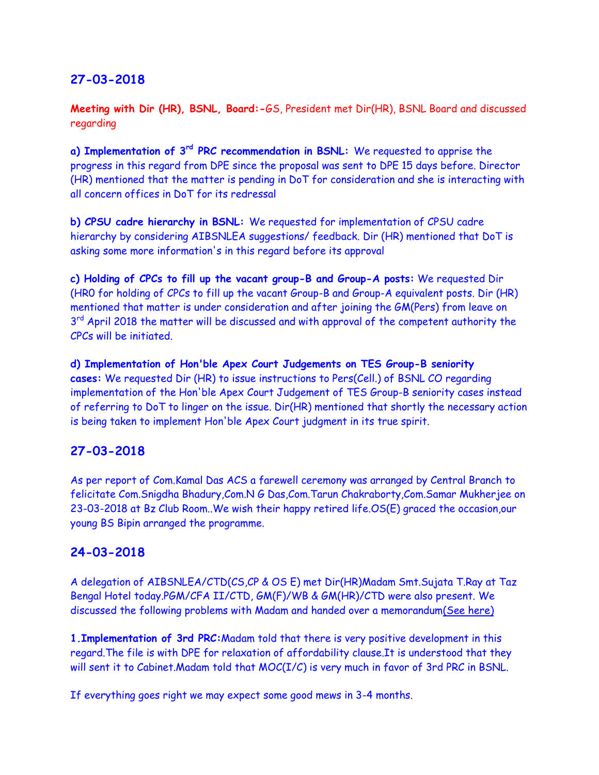**Meeting with Dir (HR), BSNL, Board:-**GS, President met Dir(HR), BSNL Board and discussed regarding

**a) Implementation of 3rd PRC recommendation in BSNL:** We requested to apprise the progress in this regard from DPE since the proposal was sent to DPE 15 days before. Director (HR) mentioned that the matter is pending in DoT for consideration and she is interacting with all concern offices in DoT for its redressal

**b) CPSU cadre hierarchy in BSNL:** We requested for implementation of CPSU cadre hierarchy by considering AIBSNLEA suggestions/ feedback. Dir (HR) mentioned that DoT is asking some more information's in this regard before its approval

**c) Holding of CPCs to fill up the vacant group-B and Group-A posts:** We requested Dir (HR0 for holding of CPCs to fill up the vacant Group-B and Group-A equivalent posts. Dir (HR) mentioned that matter is under consideration and after joining the GM(Pers) from leave on 3<sup>rd</sup> April 2018 the matter will be discussed and with approval of the competent authority the CPCs will be initiated.

**d) Implementation of Hon'ble Apex Court Judgements on TES Group-B seniority cases:** We requested Dir (HR) to issue instructions to Pers(Cell.) of BSNL CO regarding implementation of the Hon'ble Apex Court Judgement of TES Group-B seniority cases instead of referring to DoT to linger on the issue. Dir(HR) mentioned that shortly the necessary action is being taken to implement Hon'ble Apex Court judgment in its true spirit.

# **27-03-2018**

As per report of Com.Kamal Das ACS a farewell ceremony was arranged by Central Branch to felicitate Com.Snigdha Bhadury,Com.N G Das,Com.Tarun Chakraborty,Com.Samar Mukherjee on 23-03-2018 at Bz Club Room..We wish their happy retired life.OS(E) graced the occasion,our young BS Bipin arranged the programme.

## **24-03-2018**

A delegation of AIBSNLEA/CTD(CS,CP & OS E) met Dir(HR)Madam Smt.Sujata T.Ray at Taz Bengal Hotel today.PGM/CFA II/CTD, GM(F)/WB & GM(HR)/CTD were also present. We discussed the following problems with Madam and handed over a memorandu[m\(See here\)](http://aibsnleawb.org/DIRHRmemo_24032018.pdf)

**1.Implementation of 3rd PRC:**Madam told that there is very positive development in this regard.The file is with DPE for relaxation of affordability clause.It is understood that they will sent it to Cabinet.Madam told that MOC(I/C) is very much in favor of 3rd PRC in BSNL.

If everything goes right we may expect some good mews in 3-4 months.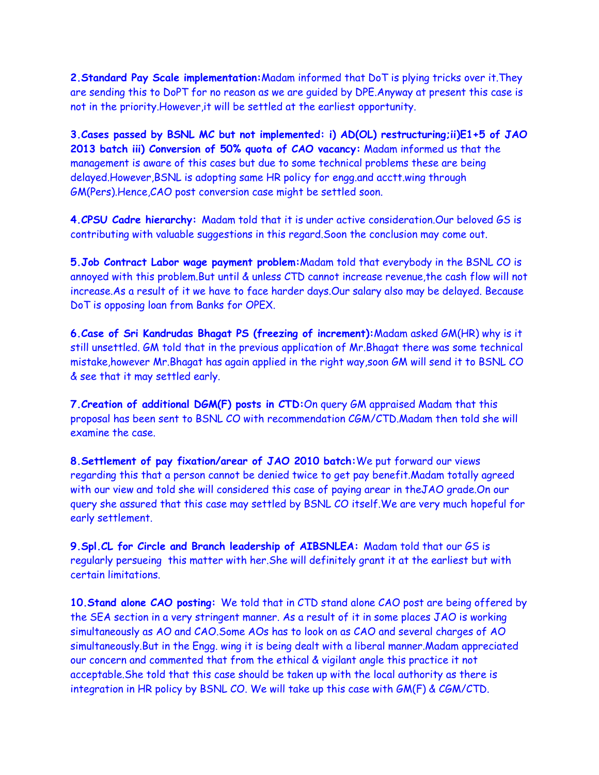**2.Standard Pay Scale implementation:**Madam informed that DoT is plying tricks over it.They are sending this to DoPT for no reason as we are guided by DPE.Anyway at present this case is not in the priority.However,it will be settled at the earliest opportunity.

**3.Cases passed by BSNL MC but not implemented: i) AD(OL) restructuring;ii)E1+5 of JAO 2013 batch iii) Conversion of 50% quota of CAO vacancy:** Madam informed us that the management is aware of this cases but due to some technical problems these are being delayed.However,BSNL is adopting same HR policy for engg.and acctt.wing through GM(Pers).Hence,CAO post conversion case might be settled soon.

**4.CPSU Cadre hierarchy:** Madam told that it is under active consideration.Our beloved GS is contributing with valuable suggestions in this regard.Soon the conclusion may come out.

**5.Job Contract Labor wage payment problem:**Madam told that everybody in the BSNL CO is annoyed with this problem.But until & unless CTD cannot increase revenue,the cash flow will not increase.As a result of it we have to face harder days.Our salary also may be delayed. Because DoT is opposing loan from Banks for OPEX.

**6.Case of Sri Kandrudas Bhagat PS (freezing of increment):**Madam asked GM(HR) why is it still unsettled. GM told that in the previous application of Mr.Bhagat there was some technical mistake,however Mr.Bhagat has again applied in the right way,soon GM will send it to BSNL CO & see that it may settled early.

**7.Creation of additional DGM(F) posts in CTD:**On query GM appraised Madam that this proposal has been sent to BSNL CO with recommendation CGM/CTD.Madam then told she will examine the case.

**8.Settlement of pay fixation/arear of JAO 2010 batch:**We put forward our views regarding this that a person cannot be denied twice to get pay benefit.Madam totally agreed with our view and told she will considered this case of paying arear in theJAO grade.On our query she assured that this case may settled by BSNL CO itself.We are very much hopeful for early settlement.

**9.Spl.CL for Circle and Branch leadership of AIBSNLEA:** Madam told that our GS is regularly persueing this matter with her.She will definitely grant it at the earliest but with certain limitations.

**10.Stand alone CAO posting:** We told that in CTD stand alone CAO post are being offered by the SEA section in a very stringent manner. As a result of it in some places JAO is working simultaneously as AO and CAO.Some AOs has to look on as CAO and several charges of AO simultaneously.But in the Engg. wing it is being dealt with a liberal manner.Madam appreciated our concern and commented that from the ethical & vigilant angle this practice it not acceptable.She told that this case should be taken up with the local authority as there is integration in HR policy by BSNL CO. We will take up this case with GM(F) & CGM/CTD.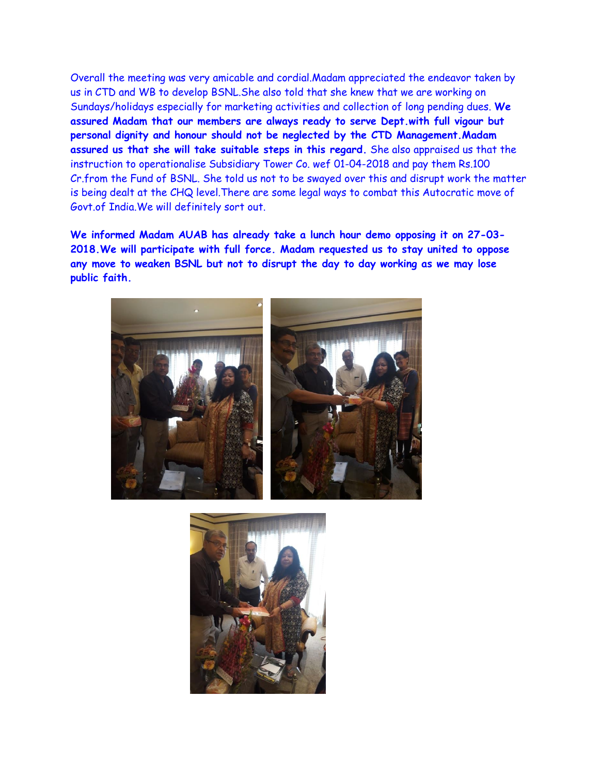Overall the meeting was very amicable and cordial.Madam appreciated the endeavor taken by us in CTD and WB to develop BSNL.She also told that she knew that we are working on Sundays/holidays especially for marketing activities and collection of long pending dues. **We assured Madam that our members are always ready to serve Dept.with full vigour but personal dignity and honour should not be neglected by the CTD Management.Madam assured us that she will take suitable steps in this regard.** She also appraised us that the instruction to operationalise Subsidiary Tower Co. wef 01-04-2018 and pay them Rs.100 Cr.from the Fund of BSNL. She told us not to be swayed over this and disrupt work the matter is being dealt at the CHQ level.There are some legal ways to combat this Autocratic move of Govt.of India.We will definitely sort out.

**We informed Madam AUAB has already take a lunch hour demo opposing it on 27-03- 2018.We will participate with full force. Madam requested us to stay united to oppose any move to weaken BSNL but not to disrupt the day to day working as we may lose public faith.**



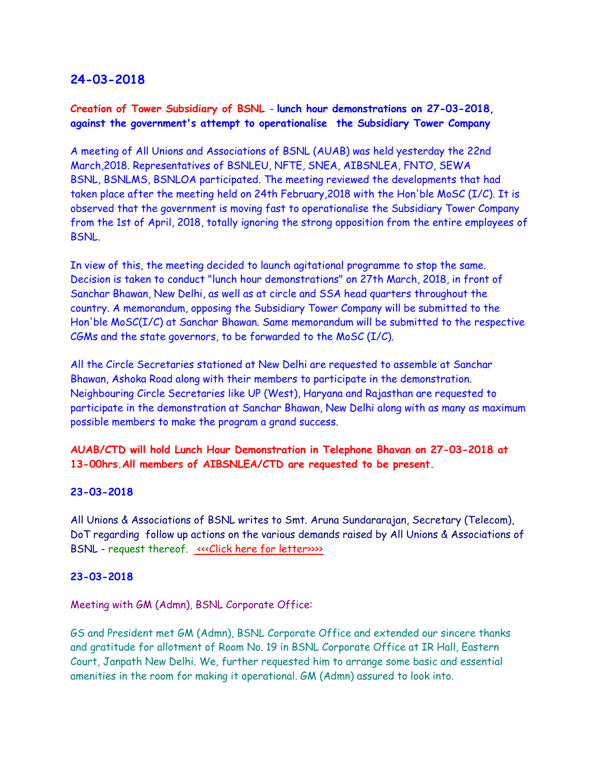### **Creation of Tower Subsidiary of BSNL** - **lunch hour demonstrations on 27-03-2018, against the government's attempt to operationalise the Subsidiary Tower Company**

A meeting of All Unions and Associations of BSNL (AUAB) was held yesterday the 22nd March,2018. Representatives of BSNLEU, NFTE, SNEA, AIBSNLEA, FNTO, SEWA BSNL, BSNLMS, BSNLOA participated. The meeting reviewed the developments that had taken place after the meeting held on 24th February,2018 with the Hon'ble MoSC (I/C). It is observed that the government is moving fast to operationalise the Subsidiary Tower Company from the 1st of April, 2018, totally ignoring the strong opposition from the entire employees of BSNL.

In view of this, the meeting decided to launch agitational programme to stop the same. Decision is taken to conduct "lunch hour demonstrations" on 27th March, 2018, in front of Sanchar Bhawan, New Delhi, as well as at circle and SSA head quarters throughout the country. A memorandum, opposing the Subsidiary Tower Company will be submitted to the Hon'ble MoSC(I/C) at Sanchar Bhawan. Same memorandum will be submitted to the respective CGMs and the state governors, to be forwarded to the MoSC (I/C).

All the Circle Secretaries stationed at New Delhi are requested to assemble at Sanchar Bhawan, Ashoka Road along with their members to participate in the demonstration. Neighbouring Circle Secretaries like UP (West), Haryana and Rajasthan are requested to participate in the demonstration at Sanchar Bhawan, New Delhi along with as many as maximum possible members to make the program a grand success.

### **AUAB/CTD will hold Lunch Hour Demonstration in Telephone Bhavan on 27-03-2018 at 13-00hrs.All members of AIBSNLEA/CTD are requested to be present.**

#### **23-03-2018**

All Unions & Associations of BSNL writes to Smt. Aruna Sundararajan, Secretary (Telecom), DoT regarding follow up actions on the various demands raised by All Unions & Associations of BSNL - request thereof. «<< Click here for letter>>>>>>>>

#### **23-03-2018**

#### Meeting with GM (Admn), BSNL Corporate Office:

GS and President met GM (Admn), BSNL Corporate Office and extended our sincere thanks and gratitude for allotment of Room No. 19 in BSNL Corporate Office at IR Hall, Eastern Court, Janpath New Delhi. We, further requested him to arrange some basic and essential amenities in the room for making it operational. GM (Admn) assured to look into.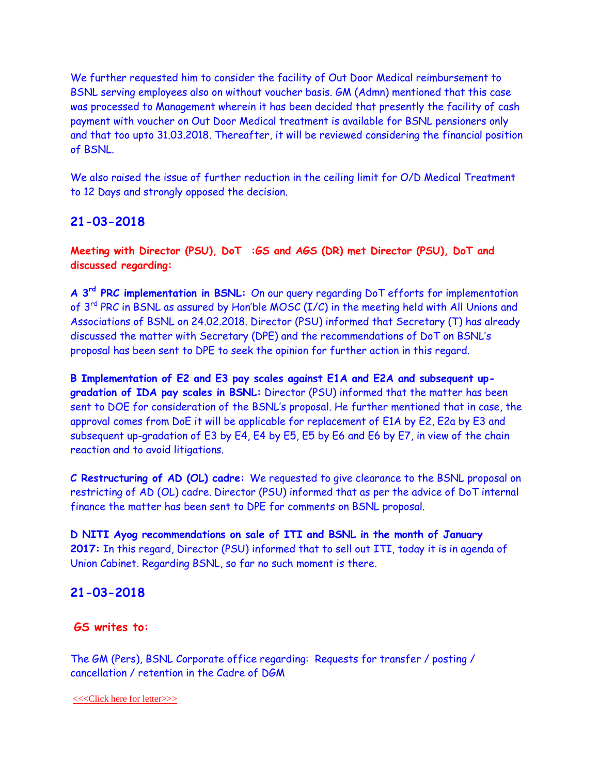We further requested him to consider the facility of Out Door Medical reimbursement to BSNL serving employees also on without voucher basis. GM (Admn) mentioned that this case was processed to Management wherein it has been decided that presently the facility of cash payment with voucher on Out Door Medical treatment is available for BSNL pensioners only and that too upto 31.03.2018. Thereafter, it will be reviewed considering the financial position of BSNL.

We also raised the issue of further reduction in the ceiling limit for O/D Medical Treatment to 12 Days and strongly opposed the decision.

## **21-03-2018**

**Meeting with Director (PSU), DoT :GS and AGS (DR) met Director (PSU), DoT and discussed regarding:**

**A 3rd PRC implementation in BSNL:** On our query regarding DoT efforts for implementation of 3<sup>rd</sup> PRC in BSNL as assured by Hon'ble MOSC (I/C) in the meeting held with All Unions and Associations of BSNL on 24.02.2018. Director (PSU) informed that Secretary (T) has already discussed the matter with Secretary (DPE) and the recommendations of DoT on BSNL's proposal has been sent to DPE to seek the opinion for further action in this regard.

**B Implementation of E2 and E3 pay scales against E1A and E2A and subsequent upgradation of IDA pay scales in BSNL:** Director (PSU) informed that the matter has been sent to DOE for consideration of the BSNL's proposal. He further mentioned that in case, the approval comes from DoE it will be applicable for replacement of E1A by E2, E2a by E3 and subsequent up-gradation of E3 by E4, E4 by E5, E5 by E6 and E6 by E7, in view of the chain reaction and to avoid litigations.

**C Restructuring of AD (OL) cadre:** We requested to give clearance to the BSNL proposal on restricting of AD (OL) cadre. Director (PSU) informed that as per the advice of DoT internal finance the matter has been sent to DPE for comments on BSNL proposal.

**D NITI Ayog recommendations on sale of ITI and BSNL in the month of January 2017:** In this regard, Director (PSU) informed that to sell out ITI, today it is in agenda of Union Cabinet. Regarding BSNL, so far no such moment is there.

### **21-03-2018**

#### **GS writes to:**

The GM (Pers), BSNL Corporate office regarding: Requests for transfer / posting / cancellation / retention in the Cadre of DGM

[<<<Click here for letter>>>](http://www.aibsnleachq.in/GMP_180321.pdf)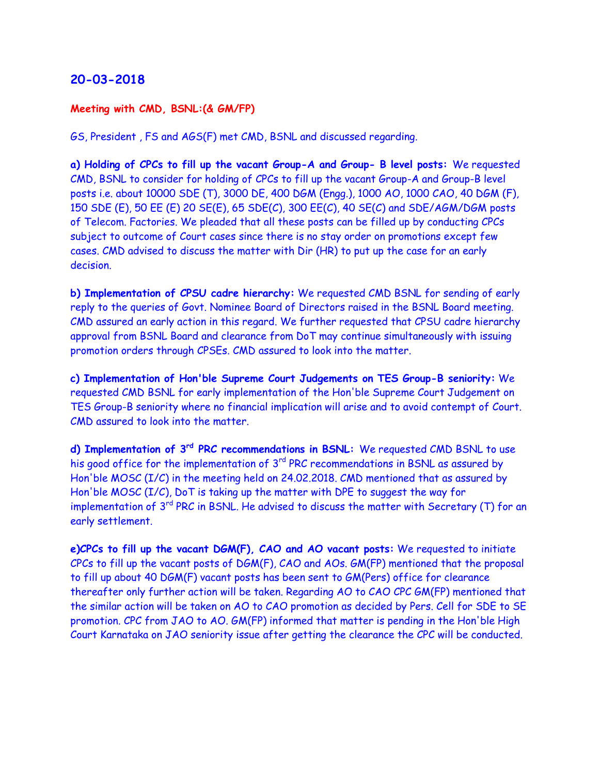#### **Meeting with CMD, BSNL:(& GM/FP)**

GS, President , FS and AGS(F) met CMD, BSNL and discussed regarding.

**a) Holding of CPCs to fill up the vacant Group-A and Group- B level posts:** We requested CMD, BSNL to consider for holding of CPCs to fill up the vacant Group-A and Group-B level posts i.e. about 10000 SDE (T), 3000 DE, 400 DGM (Engg.), 1000 AO, 1000 CAO, 40 DGM (F), 150 SDE (E), 50 EE (E) 20 SE(E), 65 SDE(C), 300 EE(C), 40 SE(C) and SDE/AGM/DGM posts of Telecom. Factories. We pleaded that all these posts can be filled up by conducting CPCs subject to outcome of Court cases since there is no stay order on promotions except few cases. CMD advised to discuss the matter with Dir (HR) to put up the case for an early decision.

**b) Implementation of CPSU cadre hierarchy:** We requested CMD BSNL for sending of early reply to the queries of Govt. Nominee Board of Directors raised in the BSNL Board meeting. CMD assured an early action in this regard. We further requested that CPSU cadre hierarchy approval from BSNL Board and clearance from DoT may continue simultaneously with issuing promotion orders through CPSEs. CMD assured to look into the matter.

**c) Implementation of Hon'ble Supreme Court Judgements on TES Group-B seniority:** We requested CMD BSNL for early implementation of the Hon'ble Supreme Court Judgement on TES Group-B seniority where no financial implication will arise and to avoid contempt of Court. CMD assured to look into the matter.

**d) Implementation of 3rd PRC recommendations in BSNL:** We requested CMD BSNL to use his good office for the implementation of 3<sup>rd</sup> PRC recommendations in BSNL as assured by Hon'ble MOSC (I/C) in the meeting held on 24.02.2018. CMD mentioned that as assured by Hon'ble MOSC (I/C), DoT is taking up the matter with DPE to suggest the way for implementation of 3<sup>rd</sup> PRC in BSNL. He advised to discuss the matter with Secretary (T) for an early settlement.

**e)CPCs to fill up the vacant DGM(F), CAO and AO vacant posts:** We requested to initiate CPCs to fill up the vacant posts of DGM(F), CAO and AOs. GM(FP) mentioned that the proposal to fill up about 40 DGM(F) vacant posts has been sent to GM(Pers) office for clearance thereafter only further action will be taken. Regarding AO to CAO CPC GM(FP) mentioned that the similar action will be taken on AO to CAO promotion as decided by Pers. Cell for SDE to SE promotion. CPC from JAO to AO. GM(FP) informed that matter is pending in the Hon'ble High Court Karnataka on JAO seniority issue after getting the clearance the CPC will be conducted.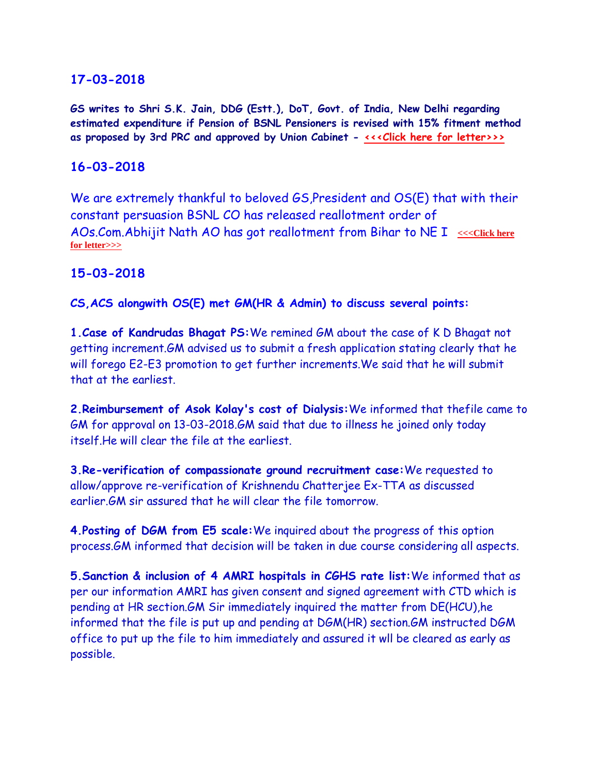**GS writes to Shri S.K. Jain, DDG (Estt.), DoT, Govt. of India, New Delhi regarding estimated expenditure if Pension of BSNL Pensioners is revised with 15% fitment method as proposed by 3rd PRC and approved by Union Cabinet - [<<<Click here for letter>>>](http://www.aibsnleachq.in/letter_16032018.PDF)**

# **16-03-2018**

We are extremely thankful to beloved GS, President and OS(E) that with their constant persuasion BSNL CO has released reallotment order of AOs.Com.Abhijit Nath AO has got reallotment from Bihar to NE I  $\leq$  <<< Click here **[for letter>>>](http://www.aibsnleachq.in/transfer-16.03.2018.pdf)**

# **15-03-2018**

**CS,ACS alongwith OS(E) met GM(HR & Admin) to discuss several points:**

**1.Case of Kandrudas Bhagat PS:**We remined GM about the case of K D Bhagat not getting increment.GM advised us to submit a fresh application stating clearly that he will forego E2-E3 promotion to get further increments.We said that he will submit that at the earliest.

**2.Reimbursement of Asok Kolay's cost of Dialysis:**We informed that thefile came to GM for approval on 13-03-2018.GM said that due to illness he joined only today itself.He will clear the file at the earliest.

**3.Re-verification of compassionate ground recruitment case:**We requested to allow/approve re-verification of Krishnendu Chatterjee Ex-TTA as discussed earlier.GM sir assured that he will clear the file tomorrow.

**4.Posting of DGM from E5 scale:**We inquired about the progress of this option process.GM informed that decision will be taken in due course considering all aspects.

**5.Sanction & inclusion of 4 AMRI hospitals in CGHS rate list:**We informed that as per our information AMRI has given consent and signed agreement with CTD which is pending at HR section.GM Sir immediately inquired the matter from DE(HCU),he informed that the file is put up and pending at DGM(HR) section.GM instructed DGM office to put up the file to him immediately and assured it wll be cleared as early as possible.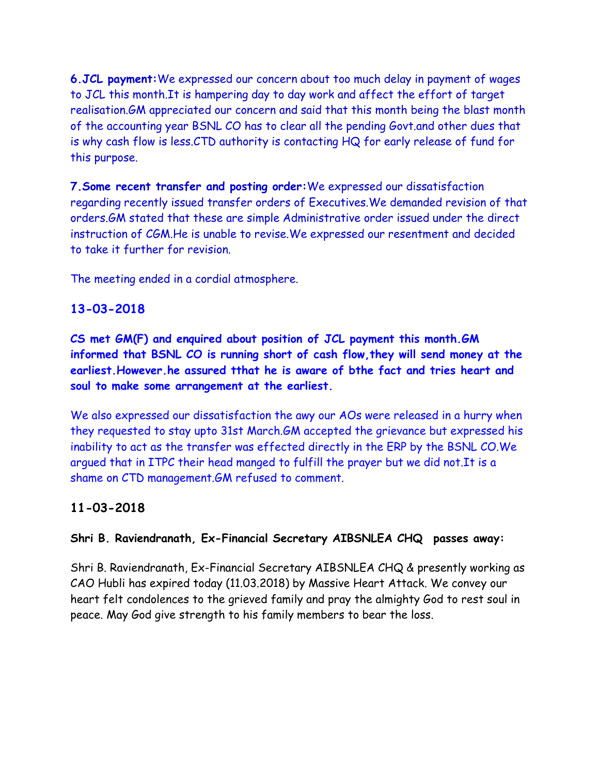**6.JCL payment:**We expressed our concern about too much delay in payment of wages to JCL this month.It is hampering day to day work and affect the effort of target realisation.GM appreciated our concern and said that this month being the blast month of the accounting year BSNL CO has to clear all the pending Govt.and other dues that is why cash flow is less.CTD authority is contacting HQ for early release of fund for this purpose.

**7.Some recent transfer and posting order:**We expressed our dissatisfaction regarding recently issued transfer orders of Executives.We demanded revision of that orders.GM stated that these are simple Administrative order issued under the direct instruction of CGM.He is unable to revise.We expressed our resentment and decided to take it further for revision.

The meeting ended in a cordial atmosphere.

# **13-03-2018**

**CS met GM(F) and enquired about position of JCL payment this month.GM informed that BSNL CO is running short of cash flow,they will send money at the earliest.However.he assured tthat he is aware of bthe fact and tries heart and soul to make some arrangement at the earliest.**

We also expressed our dissatisfaction the awy our AOs were released in a hurry when they requested to stay upto 31st March.GM accepted the grievance but expressed his inability to act as the transfer was effected directly in the ERP by the BSNL CO.We argued that in ITPC their head manged to fulfill the prayer but we did not.It is a shame on CTD management.GM refused to comment.

# **11-03-2018**

## **Shri B. Raviendranath, Ex-Financial Secretary AIBSNLEA CHQ passes away:**

Shri B. Raviendranath, Ex-Financial Secretary AIBSNLEA CHQ & presently working as CAO Hubli has expired today (11.03.2018) by Massive Heart Attack. We convey our heart felt condolences to the grieved family and pray the almighty God to rest soul in peace. May God give strength to his family members to bear the loss.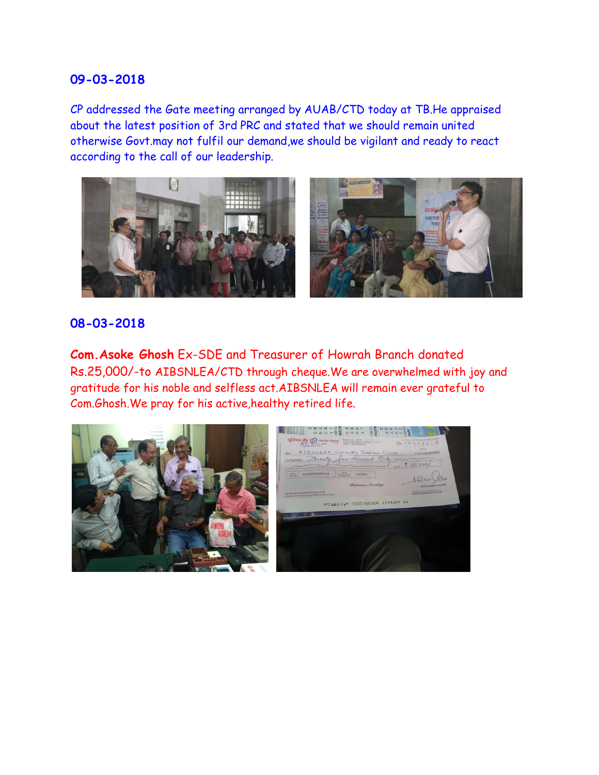CP addressed the Gate meeting arranged by AUAB/CTD today at TB.He appraised about the latest position of 3rd PRC and stated that we should remain united otherwise Govt.may not fulfil our demand,we should be vigilant and ready to react according to the call of our leadership.



### **08-03-2018**

**Com.Asoke Ghosh** Ex-SDE and Treasurer of Howrah Branch donated Rs.25,000/-to AIBSNLEA/CTD through cheque.We are overwhelmed with joy and gratitude for his noble and selfless act.AIBSNLEA will remain ever grateful to Com.Ghosh.We pray for his active,healthy retired life.